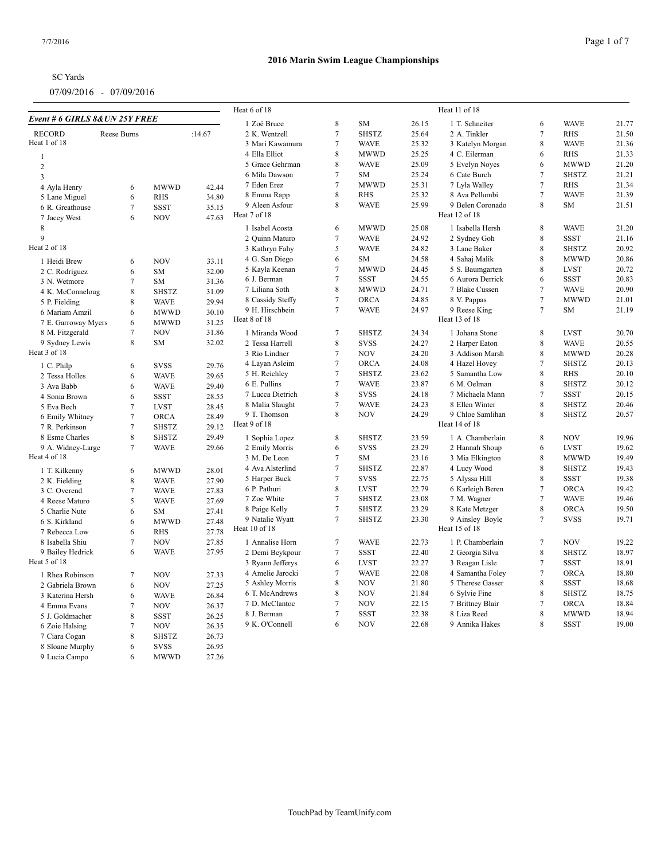|                               |                  |              |        | Heat 6 of 18                     | Heat 11 of 18    |              |                |                                   |                  |              |       |  |  |
|-------------------------------|------------------|--------------|--------|----------------------------------|------------------|--------------|----------------|-----------------------------------|------------------|--------------|-------|--|--|
| Event # 6 GIRLS 8&UN 25Y FREE |                  |              |        | 1 Zoë Bruce                      | 8                | <b>SM</b>    | 26.15          | 1 T. Schneiter                    | 6                | <b>WAVE</b>  | 21.77 |  |  |
| <b>RECORD</b>                 | Reese Burns      |              | :14.67 | 2 K. Wentzell                    | $\overline{7}$   | <b>SHSTZ</b> | 25.64          | 2 A. Tinkler                      | $\overline{7}$   | <b>RHS</b>   | 21.50 |  |  |
| Heat 1 of 18                  |                  |              |        | 3 Mari Kawamura                  | $\tau$           | <b>WAVE</b>  | 25.32          | 3 Katelyn Morgan                  | $\,$ 8 $\,$      | <b>WAVE</b>  | 21.36 |  |  |
| $\mathbf{1}$                  |                  |              |        | 4 Ella Elliot                    | 8                | <b>MWWD</b>  | 25.25          | 4 C. Eilerman                     | 6                | <b>RHS</b>   | 21.33 |  |  |
| $\overline{c}$                |                  |              |        | 5 Grace Gehrman                  | 8                | <b>WAVE</b>  | 25.09          | 5 Evelyn Noyes                    | 6                | <b>MWWD</b>  | 21.20 |  |  |
| $\overline{3}$                |                  |              |        | 6 Mila Dawson                    | $\tau$           | <b>SM</b>    | 25.24          | 6 Cate Burch                      | $\tau$           | <b>SHSTZ</b> | 21.21 |  |  |
| 4 Ayla Henry                  | 6                | <b>MWWD</b>  | 42.44  | 7 Eden Erez                      | $\overline{7}$   | <b>MWWD</b>  | 25.31          | 7 Lyla Walley                     | $\tau$           | RHS          | 21.34 |  |  |
| 5 Lane Miguel                 | 6                | <b>RHS</b>   | 34.80  | 8 Emma Rapp                      | 8                | <b>RHS</b>   | 25.32          | 8 Ava Pellumbi                    | $7\phantom{.0}$  | <b>WAVE</b>  | 21.39 |  |  |
| 6 R. Greathouse               | $\tau$           | <b>SSST</b>  | 35.15  | 9 Aleen Asfour                   | 8                | <b>WAVE</b>  | 25.99          | 9 Belen Coronado                  | 8                | SM           | 21.51 |  |  |
| 7 Jacey West                  | 6                | <b>NOV</b>   | 47.63  | Heat 7 of 18                     |                  |              |                | Heat 12 of 18                     |                  |              |       |  |  |
| 8                             |                  |              |        | 1 Isabel Acosta                  | 6                | <b>MWWD</b>  | 25.08          | 1 Isabella Hersh                  | 8                | <b>WAVE</b>  | 21.20 |  |  |
| 9                             |                  |              |        | 2 Quinn Maturo                   | $\overline{7}$   | <b>WAVE</b>  | 24.92          | 2 Sydney Goh                      | $\,$ 8 $\,$      | <b>SSST</b>  | 21.16 |  |  |
| Heat 2 of 18                  |                  |              |        | 3 Kathryn Fahy                   | 5                | <b>WAVE</b>  | 24.82          | 3 Lane Baker                      | $\,8\,$          | <b>SHSTZ</b> | 20.92 |  |  |
|                               |                  |              |        | 4 G. San Diego                   | 6                | <b>SM</b>    | 24.58          | 4 Sahaj Malik                     | $\,8\,$          | <b>MWWD</b>  | 20.86 |  |  |
| 1 Heidi Brew                  | 6                | <b>NOV</b>   | 33.11  |                                  | $\tau$           | <b>MWWD</b>  | 24.45          |                                   |                  | <b>LVST</b>  | 20.72 |  |  |
| 2 C. Rodriguez                | 6                | SM           | 32.00  | 5 Kayla Keenan                   |                  |              |                | 5 S. Baumgarten                   | $\,8\,$          |              |       |  |  |
| 3 N. Wetmore                  | $\tau$           | <b>SM</b>    | 31.36  | 6 J. Berman                      | $\tau$           | <b>SSST</b>  | 24.55          | 6 Aurora Derrick                  | 6                | <b>SSST</b>  | 20.83 |  |  |
| 4 K. McConneloug              | 8                | <b>SHSTZ</b> | 31.09  | 7 Liliana Soth                   | 8                | <b>MWWD</b>  | 24.71          | 7 Blake Cussen                    | $\overline{7}$   | <b>WAVE</b>  | 20.90 |  |  |
| 5 P. Fielding                 | 8                | <b>WAVE</b>  | 29.94  | 8 Cassidy Steffy                 | $\overline{7}$   | <b>ORCA</b>  | 24.85          | 8 V. Pappas                       | $\overline{7}$   | <b>MWWD</b>  | 21.01 |  |  |
| 6 Mariam Amzil                | 6                | <b>MWWD</b>  | 30.10  | 9 H. Hirschbein                  | $7\phantom{.0}$  | <b>WAVE</b>  | 24.97          | 9 Reese King                      | $7\phantom{.0}$  | <b>SM</b>    | 21.19 |  |  |
| 7 E. Garroway Myers           | 6                | <b>MWWD</b>  | 31.25  | Heat 8 of 18                     |                  |              |                | Heat 13 of 18                     |                  |              |       |  |  |
| 8 M. Fitzgerald               | $\tau$           | <b>NOV</b>   | 31.86  | 1 Miranda Wood                   | $\overline{7}$   | <b>SHSTZ</b> | 24.34          | 1 Johana Stone                    | 8                | <b>LVST</b>  | 20.70 |  |  |
| 9 Sydney Lewis                | 8                | <b>SM</b>    | 32.02  | 2 Tessa Harrell                  | 8                | <b>SVSS</b>  | 24.27          | 2 Harper Eaton                    | $\,8\,$          | <b>WAVE</b>  | 20.55 |  |  |
| Heat 3 of 18                  |                  |              |        | 3 Rio Lindner                    | $\overline{7}$   | <b>NOV</b>   | 24.20          | 3 Addison Marsh                   | $\,$ 8 $\,$      | <b>MWWD</b>  | 20.28 |  |  |
| 1 C. Philp                    | 6                | <b>SVSS</b>  | 29.76  | 4 Layan Asleim                   | $\tau$           | <b>ORCA</b>  | 24.08          | 4 Hazel Hovey                     | $\tau$           | <b>SHSTZ</b> | 20.13 |  |  |
| 2 Tessa Holles                | 6                | <b>WAVE</b>  | 29.65  | 5 H. Reichley                    | $\tau$           | <b>SHSTZ</b> | 23.62          | 5 Samantha Low                    | $\,8\,$          | RHS          | 20.10 |  |  |
| 3 Ava Babb                    | 6                | <b>WAVE</b>  | 29.40  | 6 E. Pullins                     | $\tau$           | <b>WAVE</b>  | 23.87          | 6 M. Oelman                       | $\,8\,$          | <b>SHSTZ</b> | 20.12 |  |  |
| 4 Sonia Brown                 | 6                | <b>SSST</b>  | 28.55  | 7 Lucca Dietrich                 | 8                | <b>SVSS</b>  | 24.18          | 7 Michaela Mann                   | $\overline{7}$   | <b>SSST</b>  | 20.15 |  |  |
| 5 Eva Bech                    | 7                | <b>LVST</b>  | 28.45  | 8 Malia Slaught                  | 7                | <b>WAVE</b>  | 24.23          | 8 Ellen Winter                    | $\,8\,$          | <b>SHSTZ</b> | 20.46 |  |  |
| 6 Emily Whitney               | $\boldsymbol{7}$ | <b>ORCA</b>  | 28.49  | 9 T. Thomson                     | 8                | <b>NOV</b>   | 24.29          | 9 Chloe Samlihan                  | $\,8\,$          | <b>SHSTZ</b> | 20.57 |  |  |
| 7 R. Perkinson                | $\tau$           | <b>SHSTZ</b> | 29.12  | Heat 9 of 18                     |                  |              |                | Heat 14 of 18                     |                  |              |       |  |  |
| 8 Esme Charles                | $\,$ 8 $\,$      | <b>SHSTZ</b> | 29.49  | 1 Sophia Lopez                   | 8                | <b>SHSTZ</b> | 23.59          | 1 A. Chamberlain                  | 8                | <b>NOV</b>   | 19.96 |  |  |
| 9 A. Widney-Large             | $\tau$           | <b>WAVE</b>  | 29.66  | 2 Emily Morris                   | 6                | <b>SVSS</b>  | 23.29          | 2 Hannah Shoup                    | 6                | <b>LVST</b>  | 19.62 |  |  |
| Heat 4 of 18                  |                  |              |        | 3 M. De Leon                     | $\tau$           | SM           | 23.16          | 3 Mia Elkington                   | 8                | <b>MWWD</b>  | 19.49 |  |  |
|                               |                  |              |        | 4 Ava Alsterlind                 | $\overline{7}$   | <b>SHSTZ</b> | 22.87          | 4 Lucy Wood                       | $\,8\,$          | <b>SHSTZ</b> | 19.43 |  |  |
| 1 T. Kilkenny                 | 6                | <b>MWWD</b>  | 28.01  |                                  | $\overline{7}$   | <b>SVSS</b>  |                |                                   | $\,$ 8 $\,$      | <b>SSST</b>  | 19.38 |  |  |
| 2 K. Fielding                 | $\,8\,$          | <b>WAVE</b>  | 27.90  | 5 Harper Buck<br>6 P. Pathuri    | $\,8\,$          | <b>LVST</b>  | 22.75<br>22.79 | 5 Alyssa Hill<br>6 Karleigh Beren | $\overline{7}$   | <b>ORCA</b>  | 19.42 |  |  |
| 3 C. Overend                  | $\tau$           | <b>WAVE</b>  | 27.83  | 7 Zoe White                      | $\overline{7}$   | <b>SHSTZ</b> | 23.08          | 7 M. Wagner                       | $\overline{7}$   | <b>WAVE</b>  | 19.46 |  |  |
| 4 Reese Maturo                | 5                | <b>WAVE</b>  | 27.69  |                                  | $\overline{7}$   | <b>SHSTZ</b> | 23.29          | 8 Kate Metzger                    | $\,8\,$          | <b>ORCA</b>  | 19.50 |  |  |
| 5 Charlie Nute                | 6                | <b>SM</b>    | 27.41  | 8 Paige Kelly                    | $7\phantom{.0}$  |              |                |                                   | $7\phantom{.0}$  |              |       |  |  |
| 6 S. Kirkland                 | 6                | <b>MWWD</b>  | 27.48  | 9 Natalie Wyatt<br>Heat 10 of 18 |                  | <b>SHSTZ</b> | 23.30          | 9 Ainsley Boyle<br>Heat 15 of 18  |                  | <b>SVSS</b>  | 19.71 |  |  |
| 7 Rebecca Low                 | 6                | <b>RHS</b>   | 27.78  |                                  |                  |              |                |                                   |                  |              |       |  |  |
| 8 Isabella Shiu               | $\tau$           | <b>NOV</b>   | 27.85  | 1 Annalise Horn                  | $\boldsymbol{7}$ | <b>WAVE</b>  | 22.73          | 1 P. Chamberlain                  | $\boldsymbol{7}$ | <b>NOV</b>   | 19.22 |  |  |
| 9 Bailey Hedrick              | 6                | <b>WAVE</b>  | 27.95  | 2 Demi Beykpour                  | $\tau$           | SSST         | 22.40          | 2 Georgia Silva                   | $\,$ 8 $\,$      | <b>SHSTZ</b> | 18.97 |  |  |
| Heat 5 of 18                  |                  |              |        | 3 Ryann Jefferys                 | 6                | <b>LVST</b>  | 22.27          | 3 Reagan Lisle                    | $\tau$           | <b>SSST</b>  | 18.91 |  |  |
| 1 Rhea Robinson               | $7\phantom{.0}$  | <b>NOV</b>   | 27.33  | 4 Amelie Jarocki                 | 7                | <b>WAVE</b>  | 22.08          | 4 Samantha Foley                  | $\tau$           | <b>ORCA</b>  | 18.80 |  |  |
| 2 Gabriela Brown              | 6                | <b>NOV</b>   | 27.25  | 5 Ashley Morris                  | 8                | <b>NOV</b>   | 21.80          | 5 Therese Gasser                  | $\,8\,$          | <b>SSST</b>  | 18.68 |  |  |
| 3 Katerina Hersh              | 6                | <b>WAVE</b>  | 26.84  | 6 T. McAndrews                   | $\,$ 8 $\,$      | <b>NOV</b>   | 21.84          | 6 Sylvie Fine                     | $\,8\,$          | SHSTZ        | 18.75 |  |  |
| 4 Emma Evans                  | $\overline{7}$   | <b>NOV</b>   | 26.37  | 7 D. McClantoc                   | $\tau$           | <b>NOV</b>   | 22.15          | 7 Brittney Blair                  | $\tau$           | ORCA         | 18.84 |  |  |
| 5 J. Goldmacher               | 8                | <b>SSST</b>  | 26.25  | 8 J. Berman                      | $\overline{7}$   | <b>SSST</b>  | 22.38          | 8 Liza Reed                       | $\,8\,$          | <b>MWWD</b>  | 18.94 |  |  |
| 6 Zoie Halsing                | $\tau$           | <b>NOV</b>   | 26.35  | 9 K. O'Connell                   | 6                | <b>NOV</b>   | 22.68          | 9 Annika Hakes                    | 8                | <b>SSST</b>  | 19.00 |  |  |
| 7 Ciara Cogan                 | 8                | <b>SHSTZ</b> | 26.73  |                                  |                  |              |                |                                   |                  |              |       |  |  |
| 8 Sloane Murphy               | 6                | <b>SVSS</b>  | 26.95  |                                  |                  |              |                |                                   |                  |              |       |  |  |
| 9 Lucia Campo                 | 6                | <b>MWWD</b>  | 27.26  |                                  |                  |              |                |                                   |                  |              |       |  |  |
|                               |                  |              |        |                                  |                  |              |                |                                   |                  |              |       |  |  |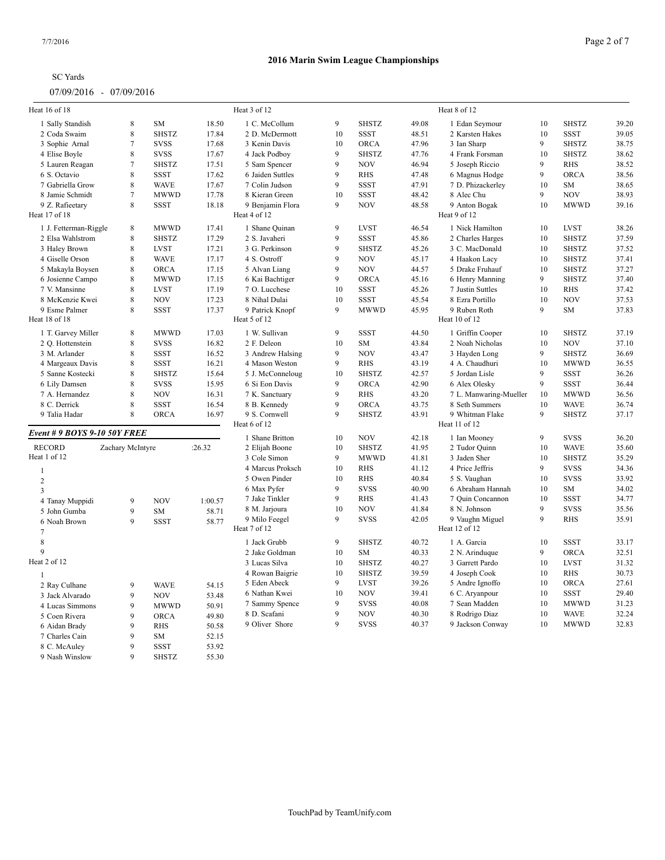8 C. McAuley 9 SSST 53.92 Nash Winslow 9 SHSTZ 55.30

| Heat 16 of 18                  |                  |              |         | Heat 3 of 12     |    |              |       | Heat 8 of 12           |              |              |       |
|--------------------------------|------------------|--------------|---------|------------------|----|--------------|-------|------------------------|--------------|--------------|-------|
| 1 Sally Standish               | $\,8\,$          | SM           | 18.50   | 1 C. McCollum    | 9  | <b>SHSTZ</b> | 49.08 | 1 Edan Seymour         | 10           | <b>SHSTZ</b> | 39.20 |
| 2 Coda Swaim                   | 8                | <b>SHSTZ</b> | 17.84   | 2 D. McDermott   | 10 | <b>SSST</b>  | 48.51 | 2 Karsten Hakes        | 10           | <b>SSST</b>  | 39.05 |
| 3 Sophie Arnal                 | $\overline{7}$   | <b>SVSS</b>  | 17.68   | 3 Kenin Davis    | 10 | <b>ORCA</b>  | 47.96 | 3 Ian Sharp            | 9            | <b>SHSTZ</b> | 38.75 |
| 4 Elise Boyle                  | 8                | <b>SVSS</b>  | 17.67   | 4 Jack Podboy    | 9  | <b>SHSTZ</b> | 47.76 | 4 Frank Forsman        | 10           | <b>SHSTZ</b> | 38.62 |
| 5 Lauren Reagan                | $\overline{7}$   | <b>SHSTZ</b> | 17.51   | 5 Sam Spencer    | 9  | <b>NOV</b>   | 46.94 | 5 Joseph Riccio        | 9            | <b>RHS</b>   | 38.52 |
| 6 S. Octavio                   | 8                | <b>SSST</b>  | 17.62   | 6 Jaiden Suttles | 9  | <b>RHS</b>   | 47.48 | 6 Magnus Hodge         | 9            | <b>ORCA</b>  | 38.56 |
| 7 Gabriella Grow               | 8                | <b>WAVE</b>  | 17.67   | 7 Colin Judson   | 9  | <b>SSST</b>  | 47.91 | 7 D. Phizackerley      | 10           | SM           | 38.65 |
| 8 Jamie Schmidt                | $\overline{7}$   | <b>MWWD</b>  | 17.78   | 8 Kieran Green   | 10 | <b>SSST</b>  | 48.42 | 8 Alec Chu             | $\mathbf{Q}$ | <b>NOV</b>   | 38.93 |
| 9 Z. Rafieetary                | 8                | <b>SSST</b>  | 18.18   | 9 Benjamin Flora | 9  | <b>NOV</b>   | 48.58 | 9 Anton Bogak          | 10           | <b>MWWD</b>  | 39.16 |
| Heat 17 of 18                  |                  |              |         | Heat 4 of 12     |    |              |       | Heat 9 of 12           |              |              |       |
| 1 J. Fetterman-Riggle          | 8                | <b>MWWD</b>  | 17.41   | 1 Shane Quinan   | 9  | <b>LVST</b>  | 46.54 | 1 Nick Hamilton        | 10           | <b>LVST</b>  | 38.26 |
| 2 Elsa Wahlstrom               | 8                | <b>SHSTZ</b> | 17.29   | 2 S. Javaheri    | 9  | <b>SSST</b>  | 45.86 | 2 Charles Harges       | 10           | <b>SHSTZ</b> | 37.59 |
| 3 Haley Brown                  | 8                | <b>LVST</b>  | 17.21   | 3 G. Perkinson   | 9  | <b>SHSTZ</b> | 45.26 | 3 C. MacDonald         | 10           | <b>SHSTZ</b> | 37.52 |
| 4 Giselle Orson                | 8                | <b>WAVE</b>  | 17.17   | 4 S. Ostroff     | 9  | <b>NOV</b>   | 45.17 | 4 Haakon Lacy          | 10           | <b>SHSTZ</b> | 37.41 |
| 5 Makayla Boysen               | 8                | <b>ORCA</b>  | 17.15   | 5 Alvan Liang    | 9  | <b>NOV</b>   | 44.57 | 5 Drake Fruhauf        | 10           | <b>SHSTZ</b> | 37.27 |
| 6 Josienne Campo               | 8                | <b>MWWD</b>  | 17.15   | 6 Kai Bachtiger  | 9  | <b>ORCA</b>  | 45.16 | 6 Henry Manning        | 9            | <b>SHSTZ</b> | 37.40 |
| 7 V. Mansinne                  | 8                | <b>LVST</b>  | 17.19   | 7 O. Lucchese    | 10 | <b>SSST</b>  | 45.26 | 7 Justin Suttles       | 10           | <b>RHS</b>   | 37.42 |
| 8 McKenzie Kwei                | 8                | <b>NOV</b>   | 17.23   | 8 Nihal Dulai    | 10 | <b>SSST</b>  | 45.54 | 8 Ezra Portillo        | 10           | <b>NOV</b>   | 37.53 |
| 9 Esme Palmer                  | 8                | <b>SSST</b>  | 17.37   | 9 Patrick Knopf  | 9  | <b>MWWD</b>  | 45.95 | 9 Ruben Roth           | 9            | <b>SM</b>    | 37.83 |
| Heat 18 of 18                  |                  |              |         | Heat 5 of 12     |    |              |       | Heat 10 of 12          |              |              |       |
| 1 T. Garvey Miller             | 8                | <b>MWWD</b>  | 17.03   | 1 W. Sullivan    | 9  | <b>SSST</b>  | 44.50 | 1 Griffin Cooper       | 10           | <b>SHSTZ</b> | 37.19 |
| 2 Q. Hottenstein               | 8                | <b>SVSS</b>  | 16.82   | 2 F. Deleon      | 10 | SM           | 43.84 | 2 Noah Nicholas        | 10           | <b>NOV</b>   | 37.10 |
| 3 M. Arlander                  | 8                | <b>SSST</b>  | 16.52   | 3 Andrew Halsing | 9  | <b>NOV</b>   | 43.47 | 3 Hayden Long          | 9            | <b>SHSTZ</b> | 36.69 |
| 4 Margeaux Davis               | 8                | <b>SSST</b>  | 16.21   | 4 Mason Weston   | 9  | <b>RHS</b>   | 43.19 | 4 A. Chaudhuri         | 10           | <b>MWWD</b>  | 36.55 |
| 5 Sanne Kostecki               | 8                | <b>SHSTZ</b> | 15.64   | 5 J. McConneloug | 10 | <b>SHSTZ</b> | 42.57 | 5 Jordan Lisle         | 9            | <b>SSST</b>  | 36.26 |
| 6 Lily Damsen                  | 8                | <b>SVSS</b>  | 15.95   | 6 Si Eon Davis   | 9  | <b>ORCA</b>  | 42.90 | 6 Alex Olesky          | 9            | <b>SSST</b>  | 36.44 |
| 7 A. Hernandez                 | 8                | <b>NOV</b>   | 16.31   | 7 K. Sanctuary   | 9  | <b>RHS</b>   | 43.20 | 7 L. Manwaring-Mueller | 10           | <b>MWWD</b>  | 36.56 |
| 8 C. Derrick                   | 8                | <b>SSST</b>  | 16.54   | 8 B. Kennedy     | 9  | <b>ORCA</b>  | 43.75 | 8 Seth Summers         | 10           | <b>WAVE</b>  | 36.74 |
| 9 Talia Hadar                  | 8                | <b>ORCA</b>  | 16.97   | 9 S. Cornwell    | 9  | <b>SHSTZ</b> | 43.91 | 9 Whitman Flake        | 9            | <b>SHSTZ</b> | 37.17 |
|                                |                  |              |         | Heat 6 of 12     |    |              |       | Heat 11 of 12          |              |              |       |
| Event # 9 BOYS 9-10 50Y FREE   |                  |              |         | 1 Shane Britton  | 10 | <b>NOV</b>   | 42.18 | 1 Ian Mooney           | 9            | <b>SVSS</b>  | 36.20 |
| <b>RECORD</b>                  | Zachary McIntyre |              | :26.32  | 2 Elijah Boone   | 10 | <b>SHSTZ</b> | 41.95 | 2 Tudor Quinn          | 10           | <b>WAVE</b>  | 35.60 |
| Heat 1 of 12                   |                  |              |         | 3 Cole Simon     | 9  | <b>MWWD</b>  | 41.81 | 3 Jaden Sher           | 10           | <b>SHSTZ</b> | 35.29 |
|                                |                  |              |         | 4 Marcus Proksch | 10 | <b>RHS</b>   | 41.12 | 4 Price Jeffris        | 9            | <b>SVSS</b>  | 34.36 |
| $\mathbf{1}$                   |                  |              |         | 5 Owen Pinder    | 10 | <b>RHS</b>   | 40.84 | 5 S. Vaughan           | 10           | <b>SVSS</b>  | 33.92 |
| $\overline{c}$                 |                  |              |         | 6 Max Pyfer      | 9  | <b>SVSS</b>  | 40.90 | 6 Abraham Hannah       | 10           | SM           | 34.02 |
| 3                              |                  |              |         | 7 Jake Tinkler   | 9  | <b>RHS</b>   | 41.43 | 7 Quin Concannon       | 10           | <b>SSST</b>  | 34.77 |
| 4 Tanay Muppidi                | 9                | <b>NOV</b>   | 1:00.57 | 8 M. Jarjoura    | 10 | <b>NOV</b>   | 41.84 | 8 N. Johnson           | 9            | <b>SVSS</b>  | 35.56 |
| 5 John Gumba                   | 9                | SM           | 58.71   | 9 Milo Feegel    | 9  | <b>SVSS</b>  | 42.05 | 9 Vaughn Miguel        | 9            | <b>RHS</b>   | 35.91 |
| 6 Noah Brown<br>$\overline{7}$ | 9                | <b>SSST</b>  | 58.77   | Heat 7 of 12     |    |              |       | Heat 12 of 12          |              |              |       |
| $\,$ 8 $\,$                    |                  |              |         |                  |    |              | 40.72 |                        |              |              |       |
| 9                              |                  |              |         | 1 Jack Grubb     | 9  | <b>SHSTZ</b> |       | 1 A. Garcia            | 10           | <b>SSST</b>  | 33.17 |
| Heat 2 of 12                   |                  |              |         | 2 Jake Goldman   | 10 | <b>SM</b>    | 40.33 | 2 N. Arinduque         | 9            | ORCA         | 32.51 |
|                                |                  |              |         | 3 Lucas Silva    | 10 | <b>SHSTZ</b> | 40.27 | 3 Garrett Pardo        | 10           | <b>LVST</b>  | 31.32 |
| $\mathbf{1}$                   |                  |              |         | 4 Rowan Baigrie  | 10 | <b>SHSTZ</b> | 39.59 | 4 Joseph Cook          | 10           | <b>RHS</b>   | 30.73 |
| 2 Ray Culhane                  | $\mathbf Q$      | <b>WAVE</b>  | 54.15   | 5 Eden Abeck     | 9  | <b>LVST</b>  | 39.26 | 5 Andre Ignoffo        | 10           | <b>ORCA</b>  | 27.61 |
| 3 Jack Alvarado                | 9                | <b>NOV</b>   | 53.48   | 6 Nathan Kwei    | 10 | <b>NOV</b>   | 39.41 | 6 C. Aryanpour         | 10           | <b>SSST</b>  | 29.40 |
| 4 Lucas Simmons                | 9                | <b>MWWD</b>  | 50.91   | 7 Sammy Spence   | 9  | <b>SVSS</b>  | 40.08 | 7 Sean Madden          | 10           | <b>MWWD</b>  | 31.23 |
| 5 Coen Rivera                  | 9                | ORCA         | 49.80   | 8 D. Scafani     | 9  | <b>NOV</b>   | 40.30 | 8 Rodrigo Diaz         | 10           | <b>WAVE</b>  | 32.24 |
| 6 Aidan Brady                  | $\mathbf Q$      | <b>RHS</b>   | 50.58   | 9 Oliver Shore   | 9  | <b>SVSS</b>  | 40.37 | 9 Jackson Conway       | 10           | <b>MWWD</b>  | 32.83 |
| 7 Charles Cain                 | 9                | SM           | 52.15   |                  |    |              |       |                        |              |              |       |
|                                |                  |              |         |                  |    |              |       |                        |              |              |       |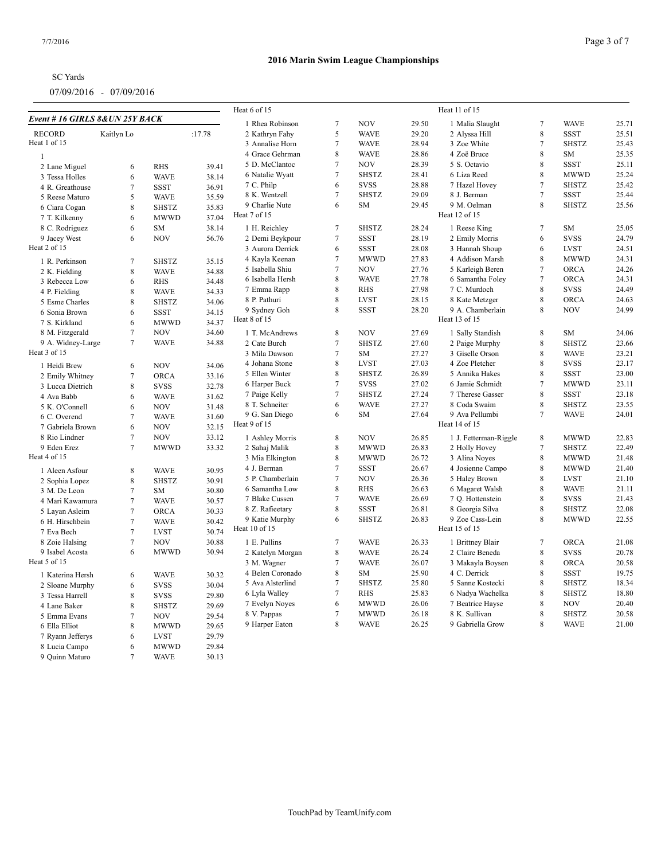| <b>SC</b> Yards |  |
|-----------------|--|
|                 |  |

|                                 |                |              |        | Heat 6 of 15     |                |              |       | Heat 11 of 15         |                 |              |       |
|---------------------------------|----------------|--------------|--------|------------------|----------------|--------------|-------|-----------------------|-----------------|--------------|-------|
| Event # 16 GIRLS 8& UN 25Y BACK |                |              |        | 1 Rhea Robinson  | 7              | <b>NOV</b>   | 29.50 | 1 Malia Slaught       | $\overline{7}$  | <b>WAVE</b>  | 25.71 |
| <b>RECORD</b>                   | Kaitlyn Lo     |              | :17.78 | 2 Kathryn Fahy   | 5              | <b>WAVE</b>  | 29.20 | 2 Alyssa Hill         | 8               | <b>SSST</b>  | 25.51 |
| Heat 1 of 15                    |                |              |        | 3 Annalise Horn  | 7              | <b>WAVE</b>  | 28.94 | 3 Zoe White           | $\overline{7}$  | <b>SHSTZ</b> | 25.43 |
| $\overline{1}$                  |                |              |        | 4 Grace Gehrman  | 8              | <b>WAVE</b>  | 28.86 | 4 Zoë Bruce           | 8               | SM           | 25.35 |
|                                 | 6              | <b>RHS</b>   | 39.41  | 5 D. McClantoc   | 7              | <b>NOV</b>   | 28.39 | 5 S. Octavio          | 8               | <b>SSST</b>  | 25.11 |
| 2 Lane Miguel                   |                |              |        | 6 Natalie Wyatt  | 7              | <b>SHSTZ</b> | 28.41 | 6 Liza Reed           | 8               | <b>MWWD</b>  | 25.24 |
| 3 Tessa Holles                  | 6              | <b>WAVE</b>  | 38.14  | 7 C. Philp       | 6              | <b>SVSS</b>  | 28.88 | 7 Hazel Hovey         | $7\phantom{.0}$ | <b>SHSTZ</b> | 25.42 |
| 4 R. Greathouse                 | $\overline{7}$ | <b>SSST</b>  | 36.91  | 8 K. Wentzell    | 7              | <b>SHSTZ</b> | 29.09 | 8 J. Berman           | $\overline{7}$  | <b>SSST</b>  | 25.44 |
| 5 Reese Maturo                  | 5              | <b>WAVE</b>  | 35.59  | 9 Charlie Nute   | 6              | <b>SM</b>    | 29.45 | 9 M. Oelman           | 8               | <b>SHSTZ</b> | 25.56 |
| 6 Ciara Cogan                   | 8              | <b>SHSTZ</b> | 35.83  | Heat 7 of 15     |                |              |       | Heat 12 of 15         |                 |              |       |
| 7 T. Kilkenny                   | 6              | <b>MWWD</b>  | 37.04  |                  |                |              |       |                       |                 |              |       |
| 8 C. Rodriguez                  | 6              | ${\rm SM}$   | 38.14  | 1 H. Reichley    | $\tau$         | <b>SHSTZ</b> | 28.24 | 1 Reese King          | $\overline{7}$  | SM           | 25.05 |
| 9 Jacey West                    | 6              | <b>NOV</b>   | 56.76  | 2 Demi Beykpour  | $\tau$         | <b>SSST</b>  | 28.19 | 2 Emily Morris        | 6               | <b>SVSS</b>  | 24.79 |
| Heat 2 of 15                    |                |              |        | 3 Aurora Derrick | 6              | <b>SSST</b>  | 28.08 | 3 Hannah Shoup        | 6               | <b>LVST</b>  | 24.51 |
| 1 R. Perkinson                  | $\overline{7}$ | <b>SHSTZ</b> | 35.15  | 4 Kayla Keenan   | $\tau$         | <b>MWWD</b>  | 27.83 | 4 Addison Marsh       | 8               | <b>MWWD</b>  | 24.31 |
| 2 K. Fielding                   | 8              | <b>WAVE</b>  | 34.88  | 5 Isabella Shiu  | $\tau$         | <b>NOV</b>   | 27.76 | 5 Karleigh Beren      | $\overline{7}$  | ORCA         | 24.26 |
| 3 Rebecca Low                   | 6              | <b>RHS</b>   | 34.48  | 6 Isabella Hersh | 8              | <b>WAVE</b>  | 27.78 | 6 Samantha Foley      | $\overline{7}$  | ORCA         | 24.31 |
| 4 P. Fielding                   | 8              | <b>WAVE</b>  | 34.33  | 7 Emma Rapp      | 8              | <b>RHS</b>   | 27.98 | 7 C. Murdoch          | 8               | <b>SVSS</b>  | 24.49 |
| 5 Esme Charles                  | 8              | <b>SHSTZ</b> | 34.06  | 8 P. Pathuri     | 8              | <b>LVST</b>  | 28.15 | 8 Kate Metzger        | 8               | ORCA         | 24.63 |
| 6 Sonia Brown                   | 6              | <b>SSST</b>  | 34.15  | 9 Sydney Goh     | 8              | <b>SSST</b>  | 28.20 | 9 A. Chamberlain      | 8               | <b>NOV</b>   | 24.99 |
| 7 S. Kirkland                   | 6              | <b>MWWD</b>  | 34.37  | Heat 8 of 15     |                |              |       | Heat 13 of 15         |                 |              |       |
| 8 M. Fitzgerald                 | $\tau$         | <b>NOV</b>   | 34.60  | 1 T. McAndrews   | 8              | <b>NOV</b>   | 27.69 | 1 Sally Standish      | 8               | <b>SM</b>    | 24.06 |
| 9 A. Widney-Large               | $\overline{7}$ | <b>WAVE</b>  | 34.88  | 2 Cate Burch     | $\tau$         | <b>SHSTZ</b> | 27.60 | 2 Paige Murphy        | $\,8\,$         | <b>SHSTZ</b> | 23.66 |
| Heat 3 of 15                    |                |              |        | 3 Mila Dawson    | $\tau$         | SM           | 27.27 | 3 Giselle Orson       | 8               | <b>WAVE</b>  | 23.21 |
|                                 |                |              |        | 4 Johana Stone   |                | <b>LVST</b>  | 27.03 | 4 Zoe Pletcher        |                 | <b>SVSS</b>  | 23.17 |
| 1 Heidi Brew                    | 6              | <b>NOV</b>   | 34.06  |                  | 8              |              |       |                       | 8               |              |       |
| 2 Emily Whitney                 | $\tau$         | <b>ORCA</b>  | 33.16  | 5 Ellen Winter   | 8              | <b>SHSTZ</b> | 26.89 | 5 Annika Hakes        | $\,$ 8 $\,$     | <b>SSST</b>  | 23.00 |
| 3 Lucca Dietrich                | 8              | <b>SVSS</b>  | 32.78  | 6 Harper Buck    | 7              | <b>SVSS</b>  | 27.02 | 6 Jamie Schmidt       | $\tau$          | <b>MWWD</b>  | 23.11 |
| 4 Ava Babb                      | 6              | <b>WAVE</b>  | 31.62  | 7 Paige Kelly    | $\tau$         | <b>SHSTZ</b> | 27.24 | 7 Therese Gasser      | 8               | <b>SSST</b>  | 23.18 |
| 5 K. O'Connell                  | 6              | <b>NOV</b>   | 31.48  | 8 T. Schneiter   | 6              | <b>WAVE</b>  | 27.27 | 8 Coda Swaim          | 8               | <b>SHSTZ</b> | 23.55 |
| 6 C. Overend                    | $\overline{7}$ | <b>WAVE</b>  | 31.60  | 9 G. San Diego   | 6              | <b>SM</b>    | 27.64 | 9 Ava Pellumbi        | $\overline{7}$  | <b>WAVE</b>  | 24.01 |
| 7 Gabriela Brown                | 6              | <b>NOV</b>   | 32.15  | Heat 9 of 15     |                |              |       | Heat 14 of 15         |                 |              |       |
| 8 Rio Lindner                   | $\overline{7}$ | <b>NOV</b>   | 33.12  | 1 Ashley Morris  | 8              | <b>NOV</b>   | 26.85 | 1 J. Fetterman-Riggle | 8               | <b>MWWD</b>  | 22.83 |
| 9 Eden Erez                     | $\overline{7}$ | <b>MWWD</b>  | 33.32  | 2 Sahaj Malik    | 8              | <b>MWWD</b>  | 26.83 | 2 Holly Hovey         | $\overline{7}$  | <b>SHSTZ</b> | 22.49 |
| Heat 4 of 15                    |                |              |        | 3 Mia Elkington  | 8              | <b>MWWD</b>  | 26.72 | 3 Alina Noyes         | 8               | <b>MWWD</b>  | 21.48 |
| 1 Aleen Asfour                  | 8              | <b>WAVE</b>  | 30.95  | 4 J. Berman      | $\tau$         | <b>SSST</b>  | 26.67 | 4 Josienne Campo      | 8               | <b>MWWD</b>  | 21.40 |
| 2 Sophia Lopez                  | $\,$ 8 $\,$    | <b>SHSTZ</b> | 30.91  | 5 P. Chamberlain | 7              | <b>NOV</b>   | 26.36 | 5 Haley Brown         | 8               | <b>LVST</b>  | 21.10 |
| 3 M. De Leon                    | $\overline{7}$ | <b>SM</b>    | 30.80  | 6 Samantha Low   | 8              | <b>RHS</b>   | 26.63 | 6 Magaret Walsh       | 8               | <b>WAVE</b>  | 21.11 |
| 4 Mari Kawamura                 | $\overline{7}$ | <b>WAVE</b>  | 30.57  | 7 Blake Cussen   | 7              | <b>WAVE</b>  | 26.69 | 7 Q. Hottenstein      | 8               | <b>SVSS</b>  | 21.43 |
| 5 Layan Asleim                  | $\overline{7}$ | <b>ORCA</b>  | 30.33  | 8 Z. Rafieetary  | 8              | <b>SSST</b>  | 26.81 | 8 Georgia Silva       | 8               | <b>SHSTZ</b> | 22.08 |
| 6 H. Hirschbein                 | $\overline{7}$ | <b>WAVE</b>  | 30.42  | 9 Katie Murphy   | 6              | <b>SHSTZ</b> | 26.83 | 9 Zoe Cass-Lein       | 8               | <b>MWWD</b>  | 22.55 |
| 7 Eva Bech                      | $\overline{7}$ | <b>LVST</b>  | 30.74  | Heat 10 of 15    |                |              |       | Heat 15 of 15         |                 |              |       |
| 8 Zoie Halsing                  | $\overline{7}$ | <b>NOV</b>   | 30.88  | 1 E. Pullins     | $\tau$         | <b>WAVE</b>  | 26.33 |                       | $\overline{7}$  | <b>ORCA</b>  | 21.08 |
| 9 Isabel Acosta                 | 6              | <b>MWWD</b>  | 30.94  |                  |                |              |       | 1 Brittney Blair      |                 |              |       |
| Heat 5 of 15                    |                |              |        | 2 Katelyn Morgan | 8              | <b>WAVE</b>  | 26.24 | 2 Claire Beneda       | 8               | <b>SVSS</b>  | 20.78 |
|                                 |                |              |        | 3 M. Wagner      | 7              | <b>WAVE</b>  | 26.07 | 3 Makayla Boysen      | 8               | ORCA         | 20.58 |
| 1 Katerina Hersh                | 6              | <b>WAVE</b>  | 30.32  | 4 Belen Coronado | 8              | SM           | 25.90 | 4 C. Derrick          | 8               | SSST         | 19.75 |
| 2 Sloane Murphy                 | 6              | <b>SVSS</b>  | 30.04  | 5 Ava Alsterlind | $\overline{7}$ | <b>SHSTZ</b> | 25.80 | 5 Sanne Kostecki      | 8               | <b>SHSTZ</b> | 18.34 |
| 3 Tessa Harrell                 | 8              | <b>SVSS</b>  | 29.80  | 6 Lyla Walley    | 7              | <b>RHS</b>   | 25.83 | 6 Nadya Wachelka      | 8               | <b>SHSTZ</b> | 18.80 |
| 4 Lane Baker                    | 8              | <b>SHSTZ</b> | 29.69  | 7 Evelyn Noyes   | 6              | <b>MWWD</b>  | 26.06 | 7 Beatrice Hayse      | 8               | <b>NOV</b>   | 20.40 |
| 5 Emma Evans                    | $\overline{7}$ | <b>NOV</b>   | 29.54  | 8 V. Pappas      | 7              | <b>MWWD</b>  | 26.18 | 8 K. Sullivan         | 8               | <b>SHSTZ</b> | 20.58 |
| 6 Ella Elliot                   | 8              | <b>MWWD</b>  | 29.65  | 9 Harper Eaton   | 8              | <b>WAVE</b>  | 26.25 | 9 Gabriella Grow      | 8               | <b>WAVE</b>  | 21.00 |
| 7 Ryann Jefferys                | 6              | <b>LVST</b>  | 29.79  |                  |                |              |       |                       |                 |              |       |
| 8 Lucia Campo                   | 6              | <b>MWWD</b>  | 29.84  |                  |                |              |       |                       |                 |              |       |
| 9 Quinn Maturo                  | $\overline{7}$ | <b>WAVE</b>  | 30.13  |                  |                |              |       |                       |                 |              |       |
|                                 |                |              |        |                  |                |              |       |                       |                 |              |       |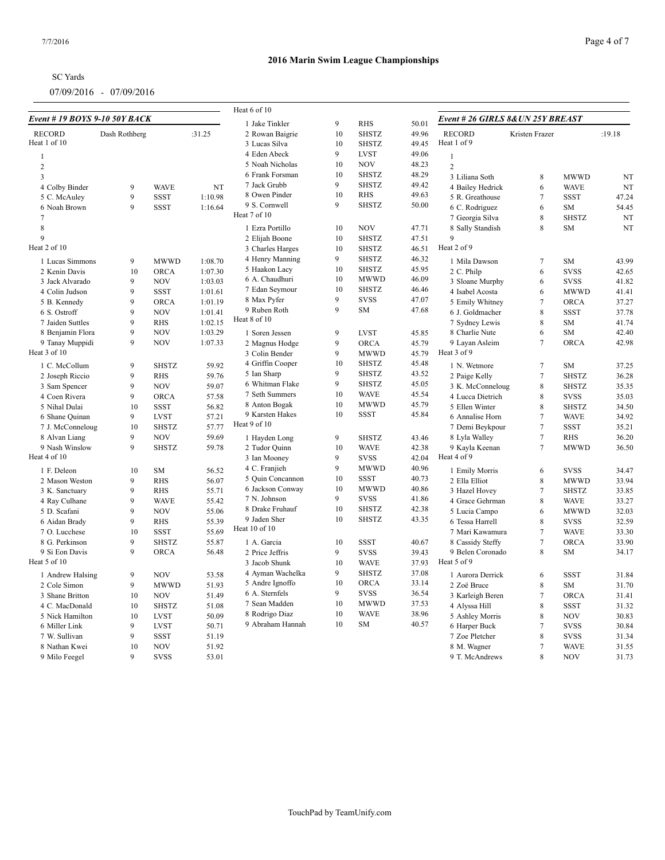| <b>SC</b> Yards |  |
|-----------------|--|
|                 |  |

|                                      |               |                          |                    | Heat 6 of 10     |    |              |       |                                   |                     |              |        |  |
|--------------------------------------|---------------|--------------------------|--------------------|------------------|----|--------------|-------|-----------------------------------|---------------------|--------------|--------|--|
| <b>Event # 19 BOYS 9-10 50Y BACK</b> |               |                          |                    | 1 Jake Tinkler   | 9  | <b>RHS</b>   | 50.01 | Event # 26 GIRLS 8& UN 25Y BREAST |                     |              |        |  |
| <b>RECORD</b>                        | Dash Rothberg |                          | :31.25             | 2 Rowan Baigrie  | 10 | <b>SHSTZ</b> | 49.96 | <b>RECORD</b>                     | Kristen Frazer      |              | :19.18 |  |
| Heat 1 of 10                         |               |                          |                    | 3 Lucas Silva    | 10 | <b>SHSTZ</b> | 49.45 | Heat 1 of 9                       |                     |              |        |  |
| $\mathbf{1}$                         |               |                          |                    | 4 Eden Abeck     | 9  | <b>LVST</b>  | 49.06 | $\mathbf{1}$                      |                     |              |        |  |
| $\overline{2}$                       |               |                          |                    | 5 Noah Nicholas  | 10 | <b>NOV</b>   | 48.23 | $\sqrt{2}$                        |                     |              |        |  |
| 3                                    |               |                          |                    | 6 Frank Forsman  | 10 | <b>SHSTZ</b> | 48.29 | 3 Liliana Soth                    | 8                   | <b>MWWD</b>  | NT     |  |
| 4 Colby Binder                       | 9             | <b>WAVE</b>              | NT                 | 7 Jack Grubb     | 9  | <b>SHSTZ</b> | 49.42 | 4 Bailey Hedrick                  | 6                   | <b>WAVE</b>  | NT     |  |
| 5 C. McAuley                         | 9             | <b>SSST</b>              | 1:10.98            | 8 Owen Pinder    | 10 | <b>RHS</b>   | 49.63 | 5 R. Greathouse                   | $7\phantom{.0}$     | <b>SSST</b>  | 47.24  |  |
| 6 Noah Brown                         | 9             | <b>SSST</b>              | 1:16.64            | 9 S. Cornwell    | 9  | <b>SHSTZ</b> | 50.00 | 6 C. Rodriguez                    | 6                   | <b>SM</b>    | 54.45  |  |
| $\overline{7}$                       |               |                          |                    | Heat 7 of 10     |    |              |       | 7 Georgia Silva                   | 8                   | <b>SHSTZ</b> | NT     |  |
| 8                                    |               |                          |                    | 1 Ezra Portillo  | 10 | <b>NOV</b>   | 47.71 | 8 Sally Standish                  | 8                   | <b>SM</b>    | NT     |  |
| $\mathbf{Q}$                         |               |                          |                    | 2 Elijah Boone   | 10 | <b>SHSTZ</b> | 47.51 | $\mathbf Q$                       |                     |              |        |  |
| Heat 2 of 10                         |               |                          |                    | 3 Charles Harges | 10 | <b>SHSTZ</b> | 46.51 | Heat 2 of 9                       |                     |              |        |  |
| 1 Lucas Simmons                      | 9             | <b>MWWD</b>              | 1:08.70            | 4 Henry Manning  | 9  | <b>SHSTZ</b> | 46.32 | 1 Mila Dawson                     | $\overline{7}$      | <b>SM</b>    | 43.99  |  |
| 2 Kenin Davis                        | 10            | ORCA                     | 1:07.30            | 5 Haakon Lacy    | 10 | <b>SHSTZ</b> | 45.95 | 2 C. Philp                        | 6                   | <b>SVSS</b>  | 42.65  |  |
| 3 Jack Alvarado                      | 9             | <b>NOV</b>               | 1:03.03            | 6 A. Chaudhuri   | 10 | <b>MWWD</b>  | 46.09 | 3 Sloane Murphy                   | 6                   | <b>SVSS</b>  | 41.82  |  |
| 4 Colin Judson                       | 9             | <b>SSST</b>              | 1:01.61            | 7 Edan Seymour   | 10 | <b>SHSTZ</b> | 46.46 | 4 Isabel Acosta                   | 6                   | <b>MWWD</b>  | 41.41  |  |
|                                      | 9             | <b>ORCA</b>              | 1:01.19            | 8 Max Pyfer      | 9  | <b>SVSS</b>  | 47.07 |                                   | $\overline{7}$      | <b>ORCA</b>  | 37.27  |  |
| 5 B. Kennedy                         | 9             | <b>NOV</b>               |                    | 9 Ruben Roth     | 9  | SM           | 47.68 | 5 Emily Whitney                   | 8                   |              |        |  |
| 6 S. Ostroff                         | 9             |                          | 1:01.41<br>1:02.15 | Heat 8 of 10     |    |              |       | 6 J. Goldmacher                   | 8                   | <b>SSST</b>  | 37.78  |  |
| 7 Jaiden Suttles                     | 9             | <b>RHS</b><br><b>NOV</b> |                    |                  |    |              |       | 7 Sydney Lewis                    |                     | SM           | 41.74  |  |
| 8 Benjamin Flora                     |               |                          | 1:03.29            | 1 Soren Jessen   | 9  | <b>LVST</b>  | 45.85 | 8 Charlie Nute                    | 6<br>$\overline{7}$ | SM           | 42.40  |  |
| 9 Tanay Muppidi<br>Heat 3 of 10      | 9             | <b>NOV</b>               | 1:07.33            | 2 Magnus Hodge   | 9  | <b>ORCA</b>  | 45.79 | 9 Layan Asleim<br>Heat 3 of 9     |                     | ORCA         | 42.98  |  |
|                                      |               |                          |                    | 3 Colin Bender   | 9  | <b>MWWD</b>  | 45.79 |                                   |                     |              |        |  |
| 1 C. McCollum                        | 9             | <b>SHSTZ</b>             | 59.92              | 4 Griffin Cooper | 10 | <b>SHSTZ</b> | 45.48 | 1 N. Wetmore                      | $\tau$              | <b>SM</b>    | 37.25  |  |
| 2 Joseph Riccio                      | 9             | <b>RHS</b>               | 59.76              | 5 Ian Sharp      | 9  | <b>SHSTZ</b> | 43.52 | 2 Paige Kelly                     | $7\phantom{.0}$     | <b>SHSTZ</b> | 36.28  |  |
| 3 Sam Spencer                        | 9             | <b>NOV</b>               | 59.07              | 6 Whitman Flake  | 9  | <b>SHSTZ</b> | 45.05 | 3 K. McConneloug                  | 8                   | <b>SHSTZ</b> | 35.35  |  |
| 4 Coen Rivera                        | 9             | ORCA                     | 57.58              | 7 Seth Summers   | 10 | <b>WAVE</b>  | 45.54 | 4 Lucca Dietrich                  | 8                   | <b>SVSS</b>  | 35.03  |  |
| 5 Nihal Dulai                        | 10            | <b>SSST</b>              | 56.82              | 8 Anton Bogak    | 10 | <b>MWWD</b>  | 45.79 | 5 Ellen Winter                    | 8                   | <b>SHSTZ</b> | 34.50  |  |
| 6 Shane Quinan                       | 9             | <b>LVST</b>              | 57.21              | 9 Karsten Hakes  | 10 | <b>SSST</b>  | 45.84 | 6 Annalise Horn                   | $\overline{7}$      | <b>WAVE</b>  | 34.92  |  |
| 7 J. McConneloug                     | 10            | <b>SHSTZ</b>             | 57.77              | Heat 9 of 10     |    |              |       | 7 Demi Beykpour                   | $\overline{7}$      | <b>SSST</b>  | 35.21  |  |
| 8 Alvan Liang                        | 9             | <b>NOV</b>               | 59.69              | 1 Hayden Long    | 9  | <b>SHSTZ</b> | 43.46 | 8 Lyla Walley                     | $\tau$              | <b>RHS</b>   | 36.20  |  |
| 9 Nash Winslow                       | 9             | <b>SHSTZ</b>             | 59.78              | 2 Tudor Quinn    | 10 | <b>WAVE</b>  | 42.38 | 9 Kayla Keenan                    | $\overline{7}$      | <b>MWWD</b>  | 36.50  |  |
| Heat 4 of 10                         |               |                          |                    | 3 Ian Mooney     | 9  | <b>SVSS</b>  | 42.04 | Heat 4 of 9                       |                     |              |        |  |
| 1 F. Deleon                          | 10            | <b>SM</b>                | 56.52              | 4 C. Franjieh    | 9  | <b>MWWD</b>  | 40.96 | 1 Emily Morris                    | 6                   | <b>SVSS</b>  | 34.47  |  |
| 2 Mason Weston                       | 9             | <b>RHS</b>               | 56.07              | 5 Quin Concannon | 10 | <b>SSST</b>  | 40.73 | 2 Ella Elliot                     | 8                   | <b>MWWD</b>  | 33.94  |  |
| 3 K. Sanctuary                       | 9             | <b>RHS</b>               | 55.71              | 6 Jackson Conway | 10 | <b>MWWD</b>  | 40.86 | 3 Hazel Hovey                     | $\overline{7}$      | <b>SHSTZ</b> | 33.85  |  |
| 4 Ray Culhane                        | 9             | <b>WAVE</b>              | 55.42              | 7 N. Johnson     | 9  | <b>SVSS</b>  | 41.86 | 4 Grace Gehrman                   | 8                   | <b>WAVE</b>  | 33.27  |  |
| 5 D. Scafani                         | 9             | <b>NOV</b>               | 55.06              | 8 Drake Fruhauf  | 10 | <b>SHSTZ</b> | 42.38 | 5 Lucia Campo                     | 6                   | <b>MWWD</b>  | 32.03  |  |
| 6 Aidan Brady                        | 9             | <b>RHS</b>               | 55.39              | 9 Jaden Sher     | 10 | <b>SHSTZ</b> | 43.35 | 6 Tessa Harrell                   | 8                   | <b>SVSS</b>  | 32.59  |  |
| 7 O. Lucchese                        | 10            | <b>SSST</b>              | 55.69              | Heat 10 of 10    |    |              |       | 7 Mari Kawamura                   | $\overline{7}$      | <b>WAVE</b>  | 33.30  |  |
| 8 G. Perkinson                       | 9             | <b>SHSTZ</b>             | 55.87              | 1 A. Garcia      | 10 | <b>SSST</b>  | 40.67 | 8 Cassidy Steffy                  | $\overline{7}$      | ORCA         | 33.90  |  |
| 9 Si Eon Davis                       | 9             | ORCA                     | 56.48              | 2 Price Jeffris  | 9  | <b>SVSS</b>  | 39.43 | 9 Belen Coronado                  | 8                   | <b>SM</b>    | 34.17  |  |
| Heat 5 of 10                         |               |                          |                    | 3 Jacob Shunk    | 10 | <b>WAVE</b>  | 37.93 | Heat 5 of 9                       |                     |              |        |  |
|                                      |               |                          |                    | 4 Ayman Wachelka | 9  | <b>SHSTZ</b> | 37.08 |                                   |                     |              |        |  |
| 1 Andrew Halsing                     | 9             | <b>NOV</b>               | 53.58              | 5 Andre Ignoffo  | 10 | ORCA         | 33.14 | 1 Aurora Derrick                  | 6                   | <b>SSST</b>  | 31.84  |  |
| 2 Cole Simon                         | 9             | <b>MWWD</b>              | 51.93              | 6 A. Sternfels   | 9  | <b>SVSS</b>  | 36.54 | 2 Zoë Bruce                       | 8                   | SM           | 31.70  |  |
| 3 Shane Britton                      | 10            | <b>NOV</b>               | 51.49              | 7 Sean Madden    | 10 | <b>MWWD</b>  | 37.53 | 3 Karleigh Beren                  | $\overline{7}$      | <b>ORCA</b>  | 31.41  |  |
| 4 C. MacDonald                       | 10            | <b>SHSTZ</b>             | 51.08              |                  | 10 | <b>WAVE</b>  | 38.96 | 4 Alyssa Hill                     | 8                   | <b>SSST</b>  | 31.32  |  |
| 5 Nick Hamilton                      | 10            | <b>LVST</b>              | 50.09              | 8 Rodrigo Diaz   | 10 | SM           | 40.57 | 5 Ashley Morris                   | 8                   | <b>NOV</b>   | 30.83  |  |
| 6 Miller Link                        | 9             | <b>LVST</b>              | 50.71              | 9 Abraham Hannah |    |              |       | 6 Harper Buck                     | $\overline{7}$      | <b>SVSS</b>  | 30.84  |  |
| 7 W. Sullivan                        | 9             | SSST                     | 51.19              |                  |    |              |       | 7 Zoe Pletcher                    | 8                   | <b>SVSS</b>  | 31.34  |  |
| 8 Nathan Kwei                        | 10            | <b>NOV</b>               | 51.92              |                  |    |              |       | 8 M. Wagner                       | $\overline{7}$      | <b>WAVE</b>  | 31.55  |  |
| 9 Milo Feegel                        | 9             | <b>SVSS</b>              | 53.01              |                  |    |              |       | 9 T. McAndrews                    | $\mathbf{R}$        | <b>NOV</b>   | 31.73  |  |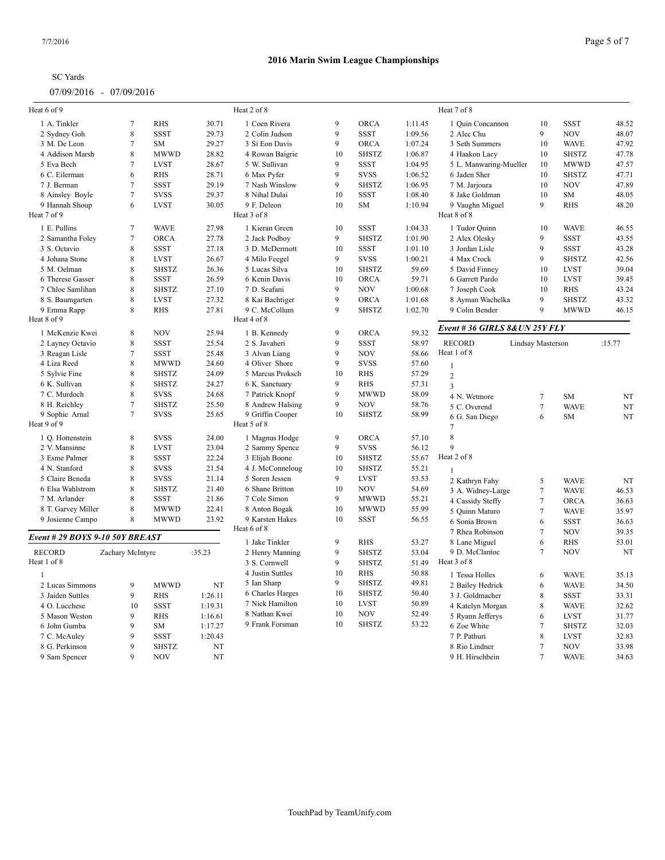| <b>SC</b> Yards |
|-----------------|
|-----------------|

| Heat 6 of 9                     |                  |              |         | Heat 2 of 8      |         |              |         | Heat 7 of 8                        |                 |              |             |
|---------------------------------|------------------|--------------|---------|------------------|---------|--------------|---------|------------------------------------|-----------------|--------------|-------------|
| 1 A. Tinkler                    | $\overline{7}$   | <b>RHS</b>   | 30.71   | 1 Coen Rivera    | 9       | ORCA         | 1:11.45 | 1 Quin Concannon                   | 10              | <b>SSST</b>  | 48.52       |
| 2 Sydney Goh                    | $\,8\,$          | <b>SSST</b>  | 29.73   | 2 Colin Judson   | 9       | <b>SSST</b>  | 1:09.56 | 2 Alec Chu                         | 9               | <b>NOV</b>   | 48.07       |
| 3 M. De Leon                    | $7\phantom{.0}$  | SM           | 29.27   | 3 Si Eon Davis   | 9       | <b>ORCA</b>  | 1:07.24 | 3 Seth Summers                     | 10              | <b>WAVE</b>  | 47.92       |
| 4 Addison Marsh                 | $\,8\,$          | <b>MWWD</b>  | 28.82   | 4 Rowan Baigrie  | 10      | <b>SHSTZ</b> | 1:06.87 | 4 Haakon Lacy                      | 10              | <b>SHSTZ</b> | 47.78       |
| 5 Eva Bech                      | $7\phantom{.0}$  | <b>LVST</b>  | 28.67   | 5 W. Sullivan    | 9       | SSST         | 1:04.95 | 5 L. Manwaring-Mueller             | 10              | <b>MWWD</b>  | 47.57       |
| 6 C. Eilerman                   | 6                | <b>RHS</b>   | 28.71   | 6 Max Pyfer      | 9       | <b>SVSS</b>  | 1:06.52 | 6 Jaden Sher                       | 10              | <b>SHSTZ</b> | 47.71       |
| 7 J. Berman                     | $\tau$           | <b>SSST</b>  | 29.19   | 7 Nash Winslow   | 9       | <b>SHSTZ</b> | 1:06.95 | 7 M. Jarjoura                      | 10              | <b>NOV</b>   | 47.89       |
| 8 Ainsley Boyle                 | $7\phantom{.0}$  | <b>SVSS</b>  | 29.37   | 8 Nihal Dulai    | 10      | <b>SSST</b>  | 1:08.40 | 8 Jake Goldman                     | 10              | SM           | 48.05       |
| 9 Hannah Shoup                  | 6                | <b>LVST</b>  | 30.05   | 9 F. Deleon      | 10      | SM           | 1:10.94 | 9 Vaughn Miguel                    | 9               | <b>RHS</b>   | 48.20       |
| Heat 7 of 9                     |                  |              |         | Heat 3 of 8      |         |              |         | Heat 8 of 8                        |                 |              |             |
| 1 E. Pullins                    | $\tau$           | <b>WAVE</b>  | 27.98   | 1 Kieran Green   | 10      | SSST         | 1:04.33 | 1 Tudor Quinn                      | 10              | <b>WAVE</b>  | 46.55       |
| 2 Samantha Foley                | $\tau$           | <b>ORCA</b>  | 27.78   | 2 Jack Podboy    | 9       | <b>SHSTZ</b> | 1:01.90 | 2 Alex Olesky                      | 9               | <b>SSST</b>  | 43.55       |
| 3 S. Octavio                    | $\,8\,$          | <b>SSST</b>  | 27.18   | 3 D. McDermott   | 10      | <b>SSST</b>  | 1:01.10 | 3 Jordan Lisle                     | 9               | <b>SSST</b>  | 43.28       |
| 4 Johana Stone                  | $\,8\,$          | <b>LVST</b>  | 26.67   | 4 Milo Feegel    | 9       | <b>SVSS</b>  | 1:00.21 | 4 Max Crock                        | $\mathbf{Q}$    | <b>SHSTZ</b> | 42.56       |
| 5 M. Oelman                     | 8                | <b>SHSTZ</b> | 26.36   | 5 Lucas Silva    | 10      | <b>SHSTZ</b> | 59.69   | 5 David Finney                     | 10              | <b>LVST</b>  | 39.04       |
| 6 Therese Gasser                | 8                | <b>SSST</b>  | 26.59   | 6 Kenin Davis    | 10      | <b>ORCA</b>  | 59.71   | 6 Garrett Pardo                    | 10              | <b>LVST</b>  | 39.45       |
| 7 Chloe Samlihan                | $\,8\,$          | <b>SHSTZ</b> | 27.10   | 7 D. Scafani     | 9       | <b>NOV</b>   | 1:00.68 | 7 Joseph Cook                      | 10              | <b>RHS</b>   | 43.24       |
| 8 S. Baumgarten                 | 8                | <b>LVST</b>  | 27.32   | 8 Kai Bachtiger  | 9       | ORCA         | 1:01.68 | 8 Ayman Wachelka                   | 9               | <b>SHSTZ</b> | 43.32       |
| 9 Emma Rapp                     | 8                | <b>RHS</b>   | 27.81   | 9 C. McCollum    | 9       | <b>SHSTZ</b> | 1:02.70 | 9 Colin Bender                     | 9               | <b>MWWD</b>  | 46.15       |
| Heat 8 of 9                     |                  |              |         | Heat 4 of 8      |         |              |         |                                    |                 |              |             |
| 1 McKenzie Kwei                 | $\,$ 8 $\,$      | <b>NOV</b>   | 25.94   | 1 B. Kennedy     | 9       | <b>ORCA</b>  | 59.32   | Event # 36 GIRLS 8& UN 25Y FLY     |                 |              |             |
| 2 Layney Octavio                | 8                | <b>SSST</b>  | 25.54   | 2 S. Javaheri    | 9       | <b>SSST</b>  | 58.97   | <b>RECORD</b><br>Lindsay Masterson |                 |              | :15.77      |
| 3 Reagan Lisle                  | $7\phantom{.0}$  | <b>SSST</b>  | 25.48   | 3 Alvan Liang    | 9       | <b>NOV</b>   | 58.66   | Heat 1 of 8                        |                 |              |             |
| 4 Liza Reed                     | $\,8\,$          | <b>MWWD</b>  | 24.60   | 4 Oliver Shore   | 9       | <b>SVSS</b>  | 57.60   | $\mathbf{1}$                       |                 |              |             |
| 5 Sylvie Fine                   | $\,8\,$          | <b>SHSTZ</b> | 24.09   | 5 Marcus Proksch | 10      | <b>RHS</b>   | 57.29   | $\overline{2}$                     |                 |              |             |
| 6 K. Sullivan                   | $\,8\,$          | <b>SHSTZ</b> | 24.27   | 6 K. Sanctuary   | 9       | <b>RHS</b>   | 57.31   | $\overline{3}$                     |                 |              |             |
| 7 C. Murdoch                    | $\,$ 8 $\,$      | <b>SVSS</b>  | 24.68   | 7 Patrick Knopf  | 9       | <b>MWWD</b>  | 58.09   |                                    |                 |              |             |
| 8 H. Reichley                   | $7\phantom{.0}$  | <b>SHSTZ</b> | 25.50   | 8 Andrew Halsing | 9       | <b>NOV</b>   | 58.76   | 4 N. Wetmore                       | $\tau$          | <b>SM</b>    | $_{\rm NT}$ |
| 9 Sophie Arnal                  | $\tau$           | <b>SVSS</b>  | 25.65   | 9 Griffin Cooper | 10      | <b>SHSTZ</b> | 58.99   | 5 C. Overend                       | $\tau$          | <b>WAVE</b>  | NT          |
| Heat 9 of 9                     |                  |              |         | Heat 5 of 8      |         |              |         | 6 G. San Diego<br>$\overline{7}$   | 6               | <b>SM</b>    | NT          |
| 1 O. Hottenstein                | 8                | <b>SVSS</b>  | 24.00   | 1 Magnus Hodge   | 9       | ORCA         | 57.10   | 8                                  |                 |              |             |
| 2 V. Mansinne                   | $\,8\,$          | <b>LVST</b>  | 23.04   | 2 Sammy Spence   | 9       | <b>SVSS</b>  | 56.12   | $\mathbf{Q}$                       |                 |              |             |
| 3 Esme Palmer                   | 8                | <b>SSST</b>  | 22.24   | 3 Elijah Boone   | 10      | <b>SHSTZ</b> | 55.67   | Heat 2 of 8                        |                 |              |             |
| 4 N. Stanford                   | $\,8\,$          |              |         |                  |         |              |         |                                    |                 |              |             |
|                                 |                  | <b>SVSS</b>  | 21.54   | 4 J. McConneloug | 10<br>9 | <b>SHSTZ</b> | 55.21   |                                    |                 |              |             |
| 5 Claire Beneda                 | 8<br>8           | <b>SVSS</b>  | 21.14   | 5 Soren Jessen   |         | <b>LVST</b>  | 53.53   | 2 Kathryn Fahy                     | 5               | <b>WAVE</b>  | NT          |
| 6 Elsa Wahlstrom                |                  | <b>SHSTZ</b> | 21.40   | 6 Shane Britton  | 10      | <b>NOV</b>   | 54.69   | 3 A. Widney-Large                  | $7\phantom{.0}$ | <b>WAVE</b>  | 46.53       |
| 7 M. Arlander                   | 8                | <b>SSST</b>  | 21.86   | 7 Cole Simon     | 9       | <b>MWWD</b>  | 55.21   | 4 Cassidy Steffy                   | $\tau$          | ORCA         | 36.63       |
| 8 T. Garvey Miller              | 8                | <b>MWWD</b>  | 22.41   | 8 Anton Bogak    | 10      | <b>MWWD</b>  | 55.99   | 5 Quinn Maturo                     | $\overline{7}$  | <b>WAVE</b>  | 35.97       |
| 9 Josienne Campo                | 8                | <b>MWWD</b>  | 23.92   | 9 Karsten Hakes  | 10      | <b>SSST</b>  | 56.55   | 6 Sonia Brown                      | 6               | <b>SSST</b>  | 36.63       |
| Event # 29 BOYS 9-10 50Y BREAST |                  |              |         | Heat 6 of 8      |         |              |         | 7 Rhea Robinson                    | $7\phantom{.0}$ | <b>NOV</b>   | 39.35       |
|                                 |                  |              |         | 1 Jake Tinkler   | 9       | <b>RHS</b>   | 53.27   | 8 Lane Miguel                      | 6               | <b>RHS</b>   | 53.01       |
| <b>RECORD</b>                   | Zachary McIntyre |              | :35.23  | 2 Henry Manning  | 9       | <b>SHSTZ</b> | 53.04   | 9 D. McClantoc                     | $7\phantom{.0}$ | <b>NOV</b>   | NT          |
| Heat 1 of 8                     |                  |              |         | 3 S. Cornwell    | 9       | <b>SHSTZ</b> | 51.49   | Heat 3 of 8                        |                 |              |             |
| $\mathbf{1}$                    |                  |              |         | 4 Justin Suttles | 10      | <b>RHS</b>   | 50.88   | 1 Tessa Holles                     | 6               | <b>WAVE</b>  | 35.13       |
| 2 Lucas Simmons                 | 9                | <b>MWWD</b>  | NT      | 5 Ian Sharp      | 9       | <b>SHSTZ</b> | 49.81   | 2 Bailey Hedrick                   | 6               | <b>WAVE</b>  | 34.50       |
| 3 Jaiden Suttles                | 9                | <b>RHS</b>   | 1:26.11 | 6 Charles Harges | 10      | <b>SHSTZ</b> | 50.40   | 3 J. Goldmacher                    | 8               | <b>SSST</b>  | 33.31       |
| 4 O. Lucchese                   | 10               | <b>SSST</b>  | 1:19.31 | 7 Nick Hamilton  | 10      | <b>LVST</b>  | 50.89   | 4 Katelyn Morgan                   | 8               | <b>WAVE</b>  | 32.62       |
| 5 Mason Weston                  | 9                | <b>RHS</b>   | 1:16.61 | 8 Nathan Kwei    | 10      | <b>NOV</b>   | 52.49   | 5 Ryann Jefferys                   | 6               | <b>LVST</b>  | 31.77       |
| 6 John Gumba                    | 9                | SM           | 1:17.27 | 9 Frank Forsman  | 10      | <b>SHSTZ</b> | 53.22   | 6 Zoe White                        | $\overline{7}$  | <b>SHSTZ</b> | 32.03       |
| 7 C. McAuley                    | 9                | <b>SSST</b>  | 1:20.43 |                  |         |              |         | 7 P. Pathuri                       | $\,8\,$         | <b>LVST</b>  | 32.83       |
| 8 G. Perkinson                  | 9                | <b>SHSTZ</b> | NT      |                  |         |              |         | 8 Rio Lindner                      | $7\phantom{.0}$ | <b>NOV</b>   | 33.98       |
| 9 Sam Spencer                   | $\mathbf Q$      | <b>NOV</b>   | NT      |                  |         |              |         | 9 H. Hirschbein                    |                 | <b>WAVE</b>  | 34.63       |
|                                 |                  |              |         |                  |         |              |         |                                    |                 |              |             |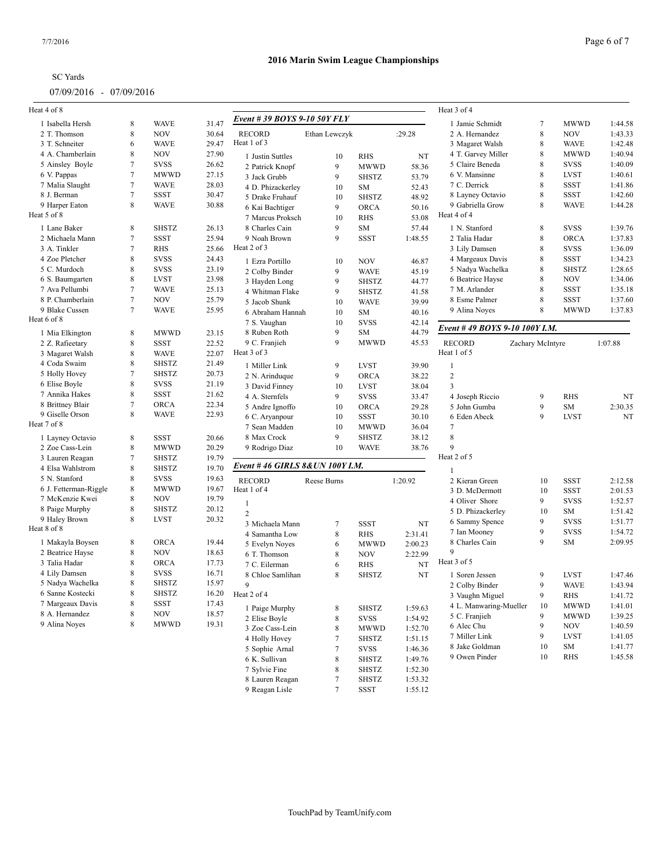| <b>SC</b> Yards |
|-----------------|
|-----------------|

# **2016 Marin Swim League Championships**

| Heat 4 of 8                          |                |                      |       |                                      |                 |                   |                  | Heat 3 of 4                   |                  |                                  |         |
|--------------------------------------|----------------|----------------------|-------|--------------------------------------|-----------------|-------------------|------------------|-------------------------------|------------------|----------------------------------|---------|
| 1 Isabella Hersh                     | 8              | <b>WAVE</b>          | 31.47 | Event # 39 BOYS 9-10 50Y FLY         |                 |                   |                  | 1 Jamie Schmidt               | $\overline{7}$   | <b>MWWD</b>                      | 1:44.58 |
| 2 T. Thomson                         | 8              | <b>NOV</b>           | 30.64 | <b>RECORD</b>                        | Ethan Lewczyk   |                   | :29.28           | 2 A. Hernandez                | 8                | <b>NOV</b>                       | 1:43.33 |
| 3 T. Schneiter                       | 6              | <b>WAVE</b>          | 29.47 | Heat 1 of 3                          |                 |                   |                  | 3 Magaret Walsh               | 8                | <b>WAVE</b>                      | 1:42.48 |
| 4 A. Chamberlain                     | 8              | <b>NOV</b>           | 27.90 | 1 Justin Suttles                     | 10              | <b>RHS</b>        | NT               | 4 T. Garvey Miller            | 8                | <b>MWWD</b>                      | 1:40.94 |
| 5 Ainsley Boyle                      | $\tau$         | <b>SVSS</b>          | 26.62 |                                      | 9               | <b>MWWD</b>       |                  | 5 Claire Beneda               | 8                | <b>SVSS</b>                      | 1:40.09 |
| 6 V. Pappas                          | $\overline{7}$ | <b>MWWD</b>          | 27.15 | 2 Patrick Knopf<br>3 Jack Grubb      | 9               | <b>SHSTZ</b>      | 58.36<br>53.79   | 6 V. Mansinne                 | 8                | <b>LVST</b>                      | 1:40.61 |
| 7 Malia Slaught                      | $\tau$         | <b>WAVE</b>          | 28.03 |                                      | 10              | SM                |                  | 7 C. Derrick                  | 8                | <b>SSST</b>                      | 1:41.86 |
| 8 J. Berman                          | $\overline{7}$ | <b>SSST</b>          | 30.47 | 4 D. Phizackerley<br>5 Drake Fruhauf | 10              | <b>SHSTZ</b>      | 52.43<br>48.92   | 8 Layney Octavio              | 8                | <b>SSST</b>                      | 1:42.60 |
| 9 Harper Eaton                       | 8              | <b>WAVE</b>          | 30.88 |                                      | 9               | ORCA              | 50.16            | 9 Gabriella Grow              | 8                | <b>WAVE</b>                      | 1:44.28 |
| Heat 5 of 8                          |                |                      |       | 6 Kai Bachtiger<br>7 Marcus Proksch  | 10              | <b>RHS</b>        | 53.08            | Heat 4 of 4                   |                  |                                  |         |
|                                      |                |                      |       | 8 Charles Cain                       | 9               |                   |                  |                               |                  |                                  |         |
| 1 Lane Baker                         | 8              | <b>SHSTZ</b>         | 26.13 | 9 Noah Brown                         | 9               | SM<br><b>SSST</b> | 57.44<br>1:48.55 | 1 N. Stanford                 | 8                | <b>SVSS</b>                      | 1:39.76 |
| 2 Michaela Mann                      | $\tau$         | <b>SSST</b>          | 25.94 | Heat 2 of 3                          |                 |                   |                  | 2 Talia Hadar                 | 8                | <b>ORCA</b>                      | 1:37.83 |
| 3 A. Tinkler                         | $\tau$         | RHS                  | 25.66 |                                      |                 |                   |                  | 3 Lily Damsen                 | 8                | <b>SVSS</b>                      | 1:36.09 |
| 4 Zoe Pletcher                       | 8              | <b>SVSS</b>          | 24.43 | 1 Ezra Portillo                      | 10              | <b>NOV</b>        | 46.87            | 4 Margeaux Davis              | 8                | <b>SSST</b>                      | 1:34.23 |
| 5 C. Murdoch                         | 8              | <b>SVSS</b>          | 23.19 | 2 Colby Binder                       | 9               | <b>WAVE</b>       | 45.19            | 5 Nadya Wachelka              | 8                | <b>SHSTZ</b>                     | 1:28.65 |
| 6 S. Baumgarten                      | 8              | <b>LVST</b>          | 23.98 | 3 Hayden Long                        | 9               | <b>SHSTZ</b>      | 44.77            | 6 Beatrice Hayse              | 8                | <b>NOV</b>                       | 1:34.06 |
| 7 Ava Pellumbi                       | $\overline{7}$ | <b>WAVE</b>          | 25.13 | 4 Whitman Flake                      | 9               | <b>SHSTZ</b>      | 41.58            | 7 M. Arlander                 | 8                | <b>SSST</b>                      | 1:35.18 |
| 8 P. Chamberlain                     | $\tau$         | <b>NOV</b>           | 25.79 | 5 Jacob Shunk                        | 10              | <b>WAVE</b>       | 39.99            | 8 Esme Palmer                 | 8                | <b>SSST</b>                      | 1:37.60 |
| 9 Blake Cussen                       | $\tau$         | <b>WAVE</b>          | 25.95 | 6 Abraham Hannah                     | 10              | SM                | 40.16            | 9 Alina Noyes                 | 8                | <b>MWWD</b>                      | 1:37.83 |
| Heat 6 of 8                          |                |                      |       | 7 S. Vaughan                         | 10              | <b>SVSS</b>       | 42.14            | Event #49 BOYS 9-10 100Y I.M. |                  |                                  |         |
| 1 Mia Elkington                      | 8              | <b>MWWD</b>          | 23.15 | 8 Ruben Roth                         | 9               | SM                | 44.79            |                               |                  |                                  |         |
| 2 Z. Rafieetary                      | 8              | <b>SSST</b>          | 22.52 | 9 C. Franjieh                        | 9               | <b>MWWD</b>       | 45.53            | <b>RECORD</b>                 | Zachary McIntyre |                                  | 1:07.88 |
| 3 Magaret Walsh                      | 8              | <b>WAVE</b>          | 22.07 | Heat 3 of 3                          |                 |                   |                  | Heat 1 of 5                   |                  |                                  |         |
| 4 Coda Swaim                         | 8              | <b>SHSTZ</b>         | 21.49 | 1 Miller Link                        | 9               | <b>LVST</b>       | 39.90            | -1                            |                  |                                  |         |
| 5 Holly Hovey                        | $\tau$         | <b>SHSTZ</b>         | 20.73 | 2 N. Arinduque                       | 9               | <b>ORCA</b>       | 38.22            | $\sqrt{2}$                    |                  |                                  |         |
| 6 Elise Boyle                        | 8              | <b>SVSS</b>          | 21.19 | 3 David Finney                       | 10              | <b>LVST</b>       | 38.04            | 3                             |                  |                                  |         |
| 7 Annika Hakes                       | 8              | <b>SSST</b>          | 21.62 | 4 A. Sternfels                       | 9               | <b>SVSS</b>       | 33.47            | 4 Joseph Riccio               | 9                | <b>RHS</b>                       | NT      |
| 8 Brittney Blair                     | $\tau$         | <b>ORCA</b>          | 22.34 | 5 Andre Ignoffo                      | 10              | <b>ORCA</b>       | 29.28            | 5 John Gumba                  | 9                | <b>SM</b>                        | 2:30.35 |
| 9 Giselle Orson                      | 8              | <b>WAVE</b>          | 22.93 | 6 C. Aryanpour                       | 10              | <b>SSST</b>       | 30.10            | 6 Eden Abeck                  | 9                | <b>LVST</b>                      | NT      |
| Heat 7 of 8                          |                |                      |       | 7 Sean Madden                        | 10              | <b>MWWD</b>       | 36.04            | 7                             |                  |                                  |         |
| 1 Layney Octavio                     | 8              | <b>SSST</b>          | 20.66 | 8 Max Crock                          | 9               | <b>SHSTZ</b>      | 38.12            | $\,$ 8 $\,$                   |                  |                                  |         |
| 2 Zoe Cass-Lein                      | 8              | MWWD                 | 20.29 | 9 Rodrigo Diaz                       | 10              | <b>WAVE</b>       | 38.76            | $\mathbf{Q}$                  |                  |                                  |         |
| 3 Lauren Reagan                      | $\tau$         | <b>SHSTZ</b>         | 19.79 |                                      |                 |                   |                  | Heat 2 of 5                   |                  |                                  |         |
| 4 Elsa Wahlstrom                     | 8              | <b>SHSTZ</b>         | 19.70 | Event #46 GIRLS 8& UN 100Y I.M.      |                 |                   |                  |                               |                  |                                  |         |
| 5 N. Stanford                        | 8              | <b>SVSS</b>          | 19.63 | <b>RECORD</b>                        | Reese Burns     |                   | 1:20.92          | 2 Kieran Green                | 10               | <b>SSST</b>                      | 2:12.58 |
| 6 J. Fetterman-Riggle                | 8              | MWWD                 | 19.67 | Heat 1 of 4                          |                 |                   |                  | 3 D. McDermott                | 10               | <b>SSST</b>                      | 2:01.53 |
| 7 McKenzie Kwei                      | 8              | <b>NOV</b>           | 19.79 |                                      |                 |                   |                  | 4 Oliver Shore                | 9                | <b>SVSS</b>                      | 1:52.57 |
| 8 Paige Murphy                       | 8              | <b>SHSTZ</b>         | 20.12 | $\mathbf{1}$                         |                 |                   |                  | 5 D. Phizackerley             | 10               | <b>SM</b>                        | 1:51.42 |
| 9 Haley Brown                        | 8              | <b>LVST</b>          | 20.32 | $\overline{c}$                       |                 |                   |                  | 6 Sammy Spence                | 9                | <b>SVSS</b>                      | 1:51.77 |
| Heat 8 of 8                          |                |                      |       | 3 Michaela Mann                      | $\tau$          | <b>SSST</b>       | NT               | 7 Ian Mooney                  | $\mathbf Q$      | <b>SVSS</b>                      | 1:54.72 |
| 1 Makayla Boysen                     | 8              | <b>ORCA</b>          | 19.44 | 4 Samantha Low                       | $\,8\,$         | RHS               | 2:31.41          | 8 Charles Cain                | 9                | SM                               | 2:09.95 |
| 2 Beatrice Hayse                     | 8              | <b>NOV</b>           | 18.63 | 5 Evelyn Noyes                       | 6               | <b>MWWD</b>       | 2:00.23          | $\mathbf Q$                   |                  |                                  |         |
| 3 Talia Hadar                        | 8              | <b>ORCA</b>          | 17.73 | 6 T. Thomson                         | $\,8\,$         | <b>NOV</b>        | 2:22.99          | Heat 3 of 5                   |                  |                                  |         |
| 4 Lily Damsen                        | 8              | <b>SVSS</b>          | 16.71 | 7 C. Eilerman                        | 6               | RHS               | NT               |                               |                  |                                  |         |
| 5 Nadya Wachelka                     | 8              | <b>SHSTZ</b>         | 15.97 | 8 Chloe Samlihan                     | $\,8\,$         | <b>SHSTZ</b>      | NT               | 1 Soren Jessen                | 9                | <b>LVST</b>                      | 1:47.46 |
|                                      |                |                      |       | 9                                    |                 |                   |                  | 2 Colby Binder                | 9                | <b>WAVE</b>                      | 1:43.94 |
| 6 Sanne Kostecki<br>7 Margeaux Davis | 8<br>8         | SHSTZ<br><b>SSST</b> | 16.20 | Heat 2 of 4                          |                 |                   |                  | 3 Vaughn Miguel               | $\overline{9}$   | $\mathbf{R}\mathbf{H}\mathbf{S}$ | 1:41.72 |
|                                      |                |                      | 17.43 | 1 Paige Murphy                       | $\,8\,$         | SHSTZ             | 1:59.63          | 4 L. Manwaring-Mueller        | 10               | <b>MWWD</b>                      | 1:41.01 |
| 8 A. Hernandez                       | 8<br>8         | NOV                  | 18.57 | 2 Elise Boyle                        | $\,8\,$         | <b>SVSS</b>       | 1:54.92          | 5 C. Franjieh                 | 9                | <b>MWWD</b>                      | 1:39.25 |
| 9 Alina Noyes                        |                | MWWD                 | 19.31 | 3 Zoe Cass-Lein                      | $\,$ 8 $\,$     | <b>MWWD</b>       | 1:52.70          | 6 Alec Chu                    | 9                | <b>NOV</b>                       | 1:40.59 |
|                                      |                |                      |       | 4 Holly Hovey                        | 7               | <b>SHSTZ</b>      | 1:51.15          | 7 Miller Link                 | 9                | <b>LVST</b>                      | 1:41.05 |
|                                      |                |                      |       | 5 Sophie Arnal                       | $\tau$          | <b>SVSS</b>       | 1:46.36          | 8 Jake Goldman                | 10               | SM                               | 1:41.77 |
|                                      |                |                      |       | 6 K. Sullivan                        | $\,8\,$         | <b>SHSTZ</b>      | 1:49.76          | 9 Owen Pinder                 | 10               | <b>RHS</b>                       | 1:45.58 |
|                                      |                |                      |       | 7 Sylvie Fine                        | $\,$ 8 $\,$     | <b>SHSTZ</b>      | 1:52.30          |                               |                  |                                  |         |
|                                      |                |                      |       | 8 Lauren Reagan                      | $7\phantom{.0}$ | <b>SHSTZ</b>      | 1:53.32          |                               |                  |                                  |         |

9 Reagan Lisle 7 SSST 1:55.12